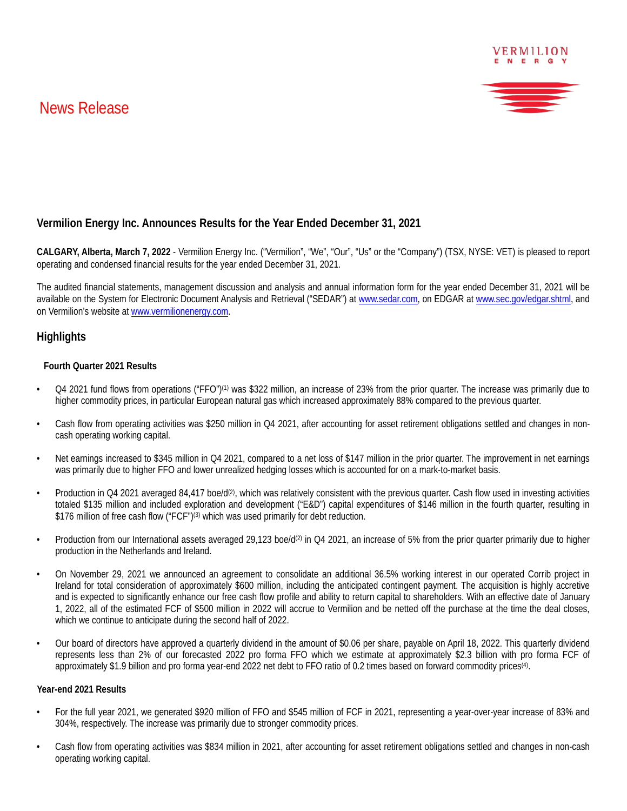# News Release





# **Vermilion Energy Inc. Announces Results for the Year Ended December 31, 2021**

**CALGARY, Alberta, March 7, 2022** - Vermilion Energy Inc. ("Vermilion", "We", "Our", "Us" or the "Company") (TSX, NYSE: VET) is pleased to report operating and condensed financial results for the year ended December 31, 2021.

The audited financial statements, management discussion and analysis and annual information form for the year ended December 31, 2021 will be available on the System for Electronic Document Analysis and Retrieval ("SEDAR") at www.sedar.com, on EDGAR at www.sec.gov/edgar.shtml, and on Vermilion's website at www.vermilionenergy.com.

## **Highlights**

#### **Fourth Quarter 2021 Results**

- Q4 2021 fund flows from operations ("FFO")(1) was \$322 million, an increase of 23% from the prior quarter. The increase was primarily due to higher commodity prices, in particular European natural gas which increased approximately 88% compared to the previous quarter.
- Cash flow from operating activities was \$250 million in Q4 2021, after accounting for asset retirement obligations settled and changes in noncash operating working capital.
- Net earnings increased to \$345 million in Q4 2021, compared to a net loss of \$147 million in the prior quarter. The improvement in net earnings was primarily due to higher FFO and lower unrealized hedging losses which is accounted for on a mark-to-market basis.
- Production in Q4 2021 averaged 84,417 boe/d<sup>(2)</sup>, which was relatively consistent with the previous quarter. Cash flow used in investing activities totaled \$135 million and included exploration and development ("E&D") capital expenditures of \$146 million in the fourth quarter, resulting in \$176 million of free cash flow ("FCF")<sup>(3)</sup> which was used primarily for debt reduction.
- Production from our International assets averaged 29,123 boe/d<sup>(2)</sup> in Q4 2021, an increase of 5% from the prior quarter primarily due to higher production in the Netherlands and Ireland.
- On November 29, 2021 we announced an agreement to consolidate an additional 36.5% working interest in our operated Corrib project in Ireland for total consideration of approximately \$600 million, including the anticipated contingent payment. The acquisition is highly accretive and is expected to significantly enhance our free cash flow profile and ability to return capital to shareholders. With an effective date of January 1, 2022, all of the estimated FCF of \$500 million in 2022 will accrue to Vermilion and be netted off the purchase at the time the deal closes, which we continue to anticipate during the second half of 2022.
- Our board of directors have approved a quarterly dividend in the amount of \$0.06 per share, payable on April 18, 2022. This quarterly dividend represents less than 2% of our forecasted 2022 pro forma FFO which we estimate at approximately \$2.3 billion with pro forma FCF of approximately \$1.9 billion and pro forma year-end 2022 net debt to FFO ratio of 0.2 times based on forward commodity prices(4).

#### **Year-end 2021 Results**

- For the full year 2021, we generated \$920 million of FFO and \$545 million of FCF in 2021, representing a year-over-year increase of 83% and 304%, respectively. The increase was primarily due to stronger commodity prices.
- Cash flow from operating activities was \$834 million in 2021, after accounting for asset retirement obligations settled and changes in non-cash operating working capital.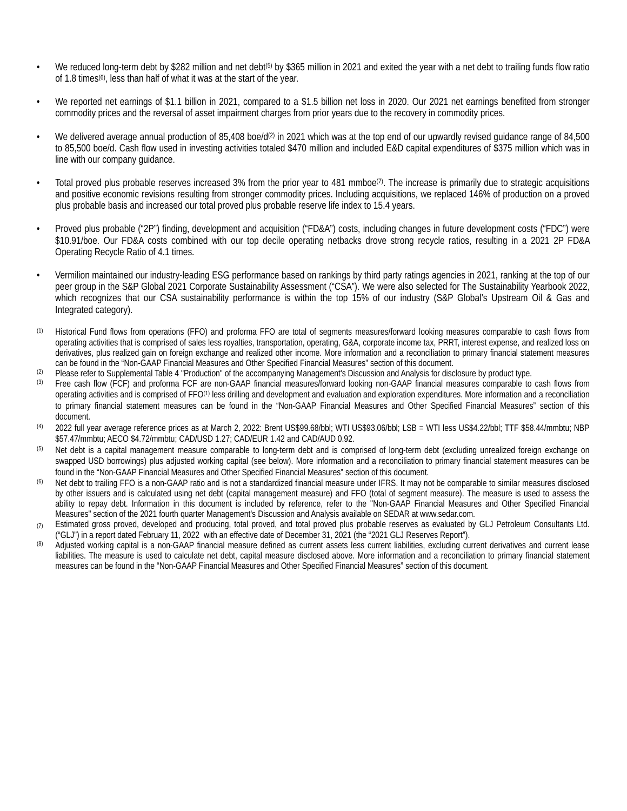- We reduced long-term debt by \$282 million and net debt<sup>(5)</sup> by \$365 million in 2021 and exited the year with a net debt to trailing funds flow ratio of 1.8 times(6), less than half of what it was at the start of the year.
- We reported net earnings of \$1.1 billion in 2021, compared to a \$1.5 billion net loss in 2020. Our 2021 net earnings benefited from stronger commodity prices and the reversal of asset impairment charges from prior years due to the recovery in commodity prices.
- We delivered average annual production of 85,408 boe/d<sup>(2)</sup> in 2021 which was at the top end of our upwardly revised guidance range of 84,500 to 85,500 boe/d. Cash flow used in investing activities totaled \$470 million and included E&D capital expenditures of \$375 million which was in line with our company guidance.
- Total proved plus probable reserves increased 3% from the prior year to 481 mmboe<sup>(7)</sup>. The increase is primarily due to strategic acquisitions and positive economic revisions resulting from stronger commodity prices. Including acquisitions, we replaced 146% of production on a proved plus probable basis and increased our total proved plus probable reserve life index to 15.4 years.
- Proved plus probable ("2P") finding, development and acquisition ("FD&A") costs, including changes in future development costs ("FDC") were \$10.91/boe. Our FD&A costs combined with our top decile operating netbacks drove strong recycle ratios, resulting in a 2021 2P FD&A Operating Recycle Ratio of 4.1 times.
- Vermilion maintained our industry-leading ESG performance based on rankings by third party ratings agencies in 2021, ranking at the top of our peer group in the S&P Global 2021 Corporate Sustainability Assessment ("CSA"). We were also selected for The Sustainability Yearbook 2022, which recognizes that our CSA sustainability performance is within the top 15% of our industry (S&P Global's Upstream Oil & Gas and Integrated category).
- (1) Historical Fund flows from operations (FFO) and proforma FFO are total of segments measures/forward looking measures comparable to cash flows from operating activities that is comprised of sales less royalties, transportation, operating, G&A, corporate income tax, PRRT, interest expense, and realized loss on derivatives, plus realized gain on foreign exchange and realized other income. More information and a reconciliation to primary financial statement measures can be found in the "Non-GAAP Financial Measures and Other Specified Financial Measures" section of this document.
- (2) Please refer to Supplemental Table 4 "Production" of the accompanying Management's Discussion and Analysis for disclosure by product type.<br>(3) Ereo cash flow (ECE) and proforma ECE are non GAAP financial moasures/forwa
- Free cash flow (FCF) and proforma FCF are non-GAAP financial measures/forward looking non-GAAP financial measures comparable to cash flows from operating activities and is comprised of FFO<sup>(1)</sup> less drilling and development and evaluation and exploration expenditures. More information and a reconciliation to primary financial statement measures can be found in the "Non-GAAP Financial Measures and Other Specified Financial Measures" section of this document.
- (4) 2022 full year average reference prices as at March 2, 2022: Brent US\$99.68/bbl; WTI US\$93.06/bbl; LSB = WTI less US\$4.22/bbl; TTF \$58.44/mmbtu; NBP \$57.47/mmbtu; AECO \$4.72/mmbtu; CAD/USD 1.27; CAD/EUR 1.42 and CAD/AUD 0.92.
- <sup>(5)</sup> Net debt is a capital management measure comparable to long-term debt and is comprised of long-term debt (excluding unrealized foreign exchange on swapped USD borrowings) plus adjusted working capital (see below). More information and a reconciliation to primary financial statement measures can be found in the "Non-GAAP Financial Measures and Other Specified Financial Measures" section of this document.
- <sup>(6)</sup> Net debt to trailing FFO is a non-GAAP ratio and is not a standardized financial measure under IFRS. It may not be comparable to similar measures disclosed by other issuers and is calculated using net debt (capital management measure) and FFO (total of segment measure). The measure is used to assess the ability to repay debt. Information in this document is included by reference, refer to the "Non-GAAP Financial Measures and Other Specified Financial Measures" section of the 2021 fourth quarter Management's Discussion and Analysis available on SEDAR at www.sedar.com.
- (7) Estimated gross proved, developed and producing, total proved, and total proved plus probable reserves as evaluated by GLJ Petroleum Consultants Ltd. ("GLJ") in a report dated February 11, 2022 with an effective date of December 31, 2021 (the "2021 GLJ Reserves Report").
- (8) Adjusted working capital is a non-GAAP financial measure defined as current assets less current liabilities, excluding current derivatives and current lease liabilities. The measure is used to calculate net debt, capital measure disclosed above. More information and a reconciliation to primary financial statement measures can be found in the "Non-GAAP Financial Measures and Other Specified Financial Measures" section of this document.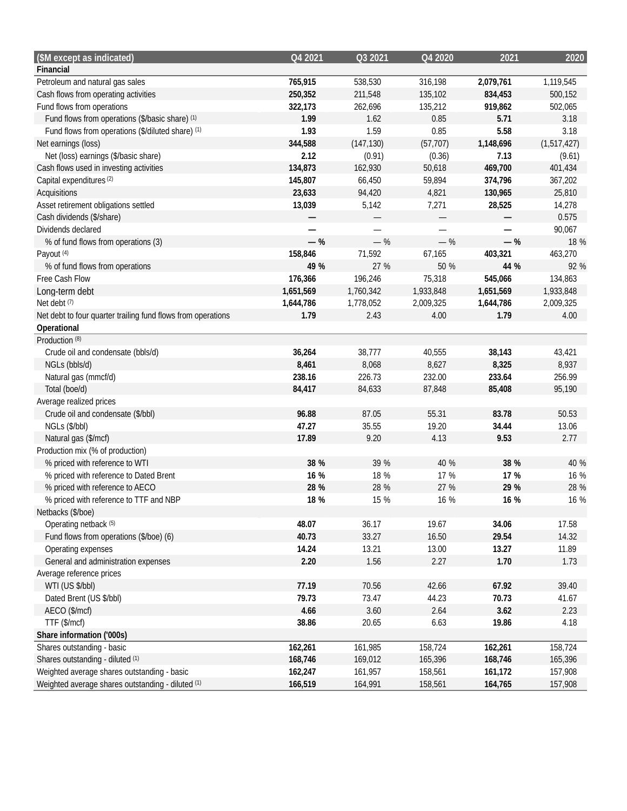| (\$M except as indicated)                                    | Q4 2021   | Q3 2021    | Q4 2020                  | 2021      | 2020        |
|--------------------------------------------------------------|-----------|------------|--------------------------|-----------|-------------|
| Financial                                                    |           |            |                          |           |             |
| Petroleum and natural gas sales                              | 765,915   | 538,530    | 316,198                  | 2,079,761 | 1,119,545   |
| Cash flows from operating activities                         | 250,352   | 211,548    | 135,102                  | 834,453   | 500,152     |
| Fund flows from operations                                   | 322,173   | 262,696    | 135,212                  | 919,862   | 502,065     |
| Fund flows from operations (\$/basic share) (1)              | 1.99      | 1.62       | 0.85                     | 5.71      | 3.18        |
| Fund flows from operations (\$/diluted share) (1)            | 1.93      | 1.59       | 0.85                     | 5.58      | 3.18        |
| Net earnings (loss)                                          | 344,588   | (147, 130) | (57, 707)                | 1,148,696 | (1,517,427) |
| Net (loss) earnings (\$/basic share)                         | 2.12      | (0.91)     | (0.36)                   | 7.13      | (9.61)      |
| Cash flows used in investing activities                      | 134,873   | 162,930    | 50,618                   | 469,700   | 401,434     |
| Capital expenditures <sup>(2)</sup>                          | 145,807   | 66,450     | 59,894                   | 374,796   | 367,202     |
| Acquisitions                                                 | 23,633    | 94,420     | 4,821                    | 130,965   | 25,810      |
| Asset retirement obligations settled                         | 13,039    | 5,142      | 7,271                    | 28,525    | 14,278      |
| Cash dividends (\$/share)                                    |           | —          |                          |           | 0.575       |
| Dividends declared                                           |           | —          | $\overline{\phantom{0}}$ |           | 90,067      |
| % of fund flows from operations (3)                          | $-$ %     | $-$ %      | $-$ %                    | $-$ %     | 18 %        |
| Payout (4)                                                   | 158,846   | 71,592     | 67,165                   | 403,321   | 463,270     |
| % of fund flows from operations                              | 49 %      | 27 %       | 50 %                     | 44 %      | 92 %        |
| Free Cash Flow                                               | 176,366   | 196,246    | 75,318                   | 545,066   | 134,863     |
| Long-term debt                                               | 1,651,569 | 1,760,342  | 1,933,848                | 1,651,569 | 1,933,848   |
| Net debt <sup>(7)</sup>                                      | 1,644,786 | 1,778,052  | 2,009,325                | 1,644,786 | 2,009,325   |
| Net debt to four quarter trailing fund flows from operations | 1.79      | 2.43       | 4.00                     | 1.79      | 4.00        |
| Operational                                                  |           |            |                          |           |             |
| Production <sup>(8)</sup>                                    |           |            |                          |           |             |
| Crude oil and condensate (bbls/d)                            | 36,264    | 38,777     | 40,555                   | 38,143    | 43,421      |
| NGLs (bbls/d)                                                | 8,461     | 8,068      | 8,627                    | 8,325     | 8,937       |
| Natural gas (mmcf/d)                                         | 238.16    | 226.73     | 232.00                   | 233.64    | 256.99      |
| Total (boe/d)                                                | 84,417    | 84,633     | 87,848                   | 85,408    | 95,190      |
| Average realized prices                                      |           |            |                          |           |             |
| Crude oil and condensate (\$/bbl)                            | 96.88     | 87.05      | 55.31                    | 83.78     | 50.53       |
| NGLs (\$/bbl)                                                | 47.27     | 35.55      | 19.20                    | 34.44     | 13.06       |
| Natural gas (\$/mcf)                                         | 17.89     | 9.20       | 4.13                     | 9.53      | 2.77        |
| Production mix (% of production)                             |           |            |                          |           |             |
| % priced with reference to WTI                               | 38 %      | 39 %       | 40 %                     | 38 %      | 40 %        |
| % priced with reference to Dated Brent                       | 16 %      | 18 %       | 17 %                     | 17 %      | 16 %        |
| % priced with reference to AECO                              | 28 %      | 28 %       | 27 %                     | 29 %      | 28 %        |
| % priced with reference to TTF and NBP                       | 18 %      | 15 %       | 16 %                     | 16 %      | 16 %        |
| Netbacks (\$/boe)                                            |           |            |                          |           |             |
| Operating netback (5)                                        | 48.07     | 36.17      | 19.67                    | 34.06     | 17.58       |
| Fund flows from operations (\$/boe) (6)                      | 40.73     | 33.27      | 16.50                    | 29.54     | 14.32       |
| Operating expenses                                           | 14.24     | 13.21      | 13.00                    | 13.27     | 11.89       |
| General and administration expenses                          | 2.20      | 1.56       | 2.27                     | 1.70      | 1.73        |
| Average reference prices                                     |           |            |                          |           |             |
| WTI (US \$/bbl)                                              | 77.19     | 70.56      | 42.66                    | 67.92     | 39.40       |
| Dated Brent (US \$/bbl)                                      | 79.73     | 73.47      | 44.23                    | 70.73     | 41.67       |
| AECO (\$/mcf)                                                | 4.66      | 3.60       | 2.64                     | 3.62      | 2.23        |
| TTF (\$/mcf)                                                 | 38.86     | 20.65      | 6.63                     | 19.86     | 4.18        |
| Share information ('000s)                                    |           |            |                          |           |             |
| Shares outstanding - basic                                   | 162,261   | 161,985    | 158,724                  | 162,261   | 158,724     |
| Shares outstanding - diluted (1)                             | 168,746   | 169,012    | 165,396                  | 168,746   | 165,396     |
| Weighted average shares outstanding - basic                  | 162,247   | 161,957    | 158,561                  | 161,172   | 157,908     |
| Weighted average shares outstanding - diluted (1)            | 166,519   | 164,991    | 158,561                  | 164,765   | 157,908     |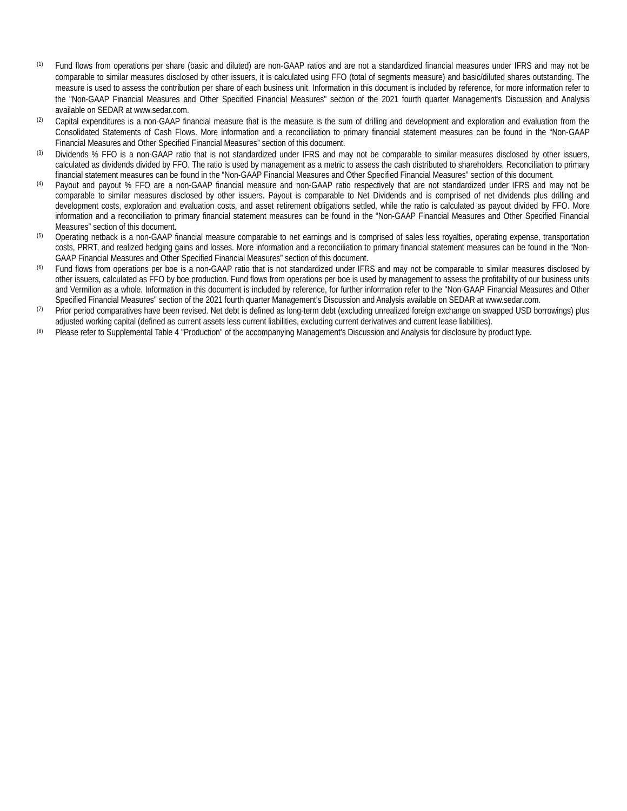- (1) Fund flows from operations per share (basic and diluted) are non-GAAP ratios and are not a standardized financial measures under IFRS and may not be comparable to similar measures disclosed by other issuers, it is calculated using FFO (total of segments measure) and basic/diluted shares outstanding. The measure is used to assess the contribution per share of each business unit. Information in this document is included by reference, for more information refer to the "Non-GAAP Financial Measures and Other Specified Financial Measures" section of the 2021 fourth quarter Management's Discussion and Analysis available on SEDAR at www.sedar.com.
- (2) Capital expenditures is a non-GAAP financial measure that is the measure is the sum of drilling and development and exploration and evaluation from the Consolidated Statements of Cash Flows. More information and a reconciliation to primary financial statement measures can be found in the "Non-GAAP Financial Measures and Other Specified Financial Measures" section of this document.
- (3) Dividends % FFO is a non-GAAP ratio that is not standardized under IFRS and may not be comparable to similar measures disclosed by other issuers, calculated as dividends divided by FFO. The ratio is used by management as a metric to assess the cash distributed to shareholders. Reconciliation to primary financial statement measures can be found in the "Non-GAAP Financial Measures and Other Specified Financial Measures" section of this document.
- Payout and payout % FFO are a non-GAAP financial measure and non-GAAP ratio respectively that are not standardized under IFRS and may not be comparable to similar measures disclosed by other issuers. Payout is comparable to Net Dividends and is comprised of net dividends plus drilling and development costs, exploration and evaluation costs, and asset retirement obligations settled, while the ratio is calculated as payout divided by FFO. More information and a reconciliation to primary financial statement measures can be found in the "Non-GAAP Financial Measures and Other Specified Financial Measures" section of this document.
- <sup>(5)</sup> Operating netback is a non-GAAP financial measure comparable to net earnings and is comprised of sales less royalties, operating expense, transportation costs, PRRT, and realized hedging gains and losses. More information and a reconciliation to primary financial statement measures can be found in the "Non-GAAP Financial Measures and Other Specified Financial Measures" section of this document.
- Fund flows from operations per boe is a non-GAAP ratio that is not standardized under IFRS and may not be comparable to similar measures disclosed by other issuers, calculated as FFO by boe production. Fund flows from operations per boe is used by management to assess the profitability of our business units and Vermilion as a whole. Information in this document is included by reference, for further information refer to the "Non-GAAP Financial Measures and Other Specified Financial Measures" section of the 2021 fourth quarter Management's Discussion and Analysis available on SEDAR at www.sedar.com.
- $(7)$  Prior period comparatives have been revised. Net debt is defined as long-term debt (excluding unrealized foreign exchange on swapped USD borrowings) plus adjusted working capital (defined as current assets less current liabilities, excluding current derivatives and current lease liabilities).
- (8) Please refer to Supplemental Table 4 "Production" of the accompanying Management's Discussion and Analysis for disclosure by product type.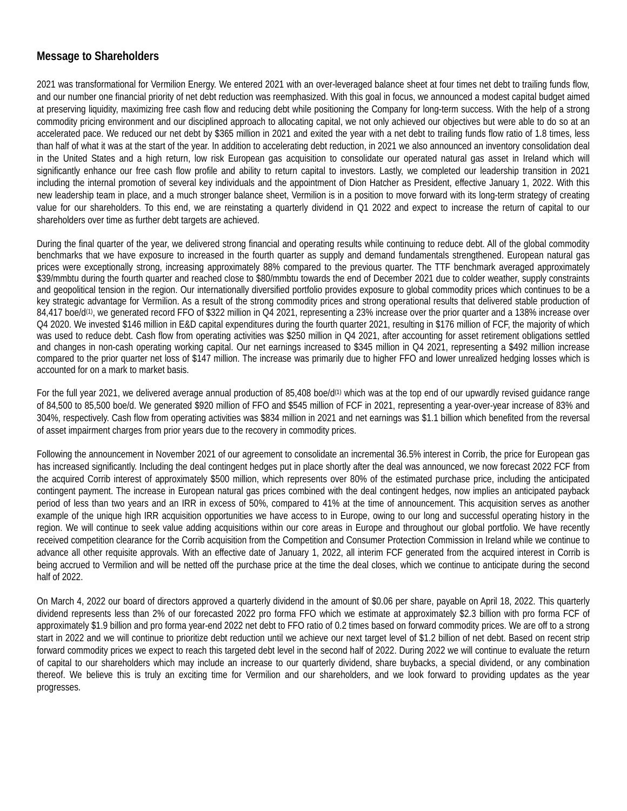# **Message to Shareholders**

2021 was transformational for Vermilion Energy. We entered 2021 with an over-leveraged balance sheet at four times net debt to trailing funds flow, and our number one financial priority of net debt reduction was reemphasized. With this goal in focus, we announced a modest capital budget aimed at preserving liquidity, maximizing free cash flow and reducing debt while positioning the Company for long-term success. With the help of a strong commodity pricing environment and our disciplined approach to allocating capital, we not only achieved our objectives but were able to do so at an accelerated pace. We reduced our net debt by \$365 million in 2021 and exited the year with a net debt to trailing funds flow ratio of 1.8 times, less than half of what it was at the start of the year. In addition to accelerating debt reduction, in 2021 we also announced an inventory consolidation deal in the United States and a high return, low risk European gas acquisition to consolidate our operated natural gas asset in Ireland which will significantly enhance our free cash flow profile and ability to return capital to investors. Lastly, we completed our leadership transition in 2021 including the internal promotion of several key individuals and the appointment of Dion Hatcher as President, effective January 1, 2022. With this new leadership team in place, and a much stronger balance sheet, Vermilion is in a position to move forward with its long-term strategy of creating value for our shareholders. To this end, we are reinstating a quarterly dividend in Q1 2022 and expect to increase the return of capital to our shareholders over time as further debt targets are achieved.

During the final quarter of the year, we delivered strong financial and operating results while continuing to reduce debt. All of the global commodity benchmarks that we have exposure to increased in the fourth quarter as supply and demand fundamentals strengthened. European natural gas prices were exceptionally strong, increasing approximately 88% compared to the previous quarter. The TTF benchmark averaged approximately \$39/mmbtu during the fourth quarter and reached close to \$80/mmbtu towards the end of December 2021 due to colder weather, supply constraints and geopolitical tension in the region. Our internationally diversified portfolio provides exposure to global commodity prices which continues to be a key strategic advantage for Vermilion. As a result of the strong commodity prices and strong operational results that delivered stable production of  $84,417$  boe/d<sup>(1)</sup>, we generated record FFO of \$322 million in Q4 2021, representing a 23% increase over the prior quarter and a 138% increase over Q4 2020. We invested \$146 million in E&D capital expenditures during the fourth quarter 2021, resulting in \$176 million of FCF, the majority of which was used to reduce debt. Cash flow from operating activities was \$250 million in Q4 2021, after accounting for asset retirement obligations settled and changes in non-cash operating working capital. Our net earnings increased to \$345 million in Q4 2021, representing a \$492 million increase compared to the prior quarter net loss of \$147 million. The increase was primarily due to higher FFO and lower unrealized hedging losses which is accounted for on a mark to market basis.

For the full year 2021, we delivered average annual production of 85,408 boe/d<sup>(1)</sup> which was at the top end of our upwardly revised guidance range of 84,500 to 85,500 boe/d. We generated \$920 million of FFO and \$545 million of FCF in 2021, representing a year-over-year increase of 83% and 304%, respectively. Cash flow from operating activities was \$834 million in 2021 and net earnings was \$1.1 billion which benefited from the reversal of asset impairment charges from prior years due to the recovery in commodity prices.

Following the announcement in November 2021 of our agreement to consolidate an incremental 36.5% interest in Corrib, the price for European gas has increased significantly. Including the deal contingent hedges put in place shortly after the deal was announced, we now forecast 2022 FCF from the acquired Corrib interest of approximately \$500 million, which represents over 80% of the estimated purchase price, including the anticipated contingent payment. The increase in European natural gas prices combined with the deal contingent hedges, now implies an anticipated payback period of less than two years and an IRR in excess of 50%, compared to 41% at the time of announcement. This acquisition serves as another example of the unique high IRR acquisition opportunities we have access to in Europe, owing to our long and successful operating history in the region. We will continue to seek value adding acquisitions within our core areas in Europe and throughout our global portfolio. We have recently received competition clearance for the Corrib acquisition from the Competition and Consumer Protection Commission in Ireland while we continue to advance all other requisite approvals. With an effective date of January 1, 2022, all interim FCF generated from the acquired interest in Corrib is being accrued to Vermilion and will be netted off the purchase price at the time the deal closes, which we continue to anticipate during the second half of 2022.

On March 4, 2022 our board of directors approved a quarterly dividend in the amount of \$0.06 per share, payable on April 18, 2022. This quarterly dividend represents less than 2% of our forecasted 2022 pro forma FFO which we estimate at approximately \$2.3 billion with pro forma FCF of approximately \$1.9 billion and pro forma year-end 2022 net debt to FFO ratio of 0.2 times based on forward commodity prices. We are off to a strong start in 2022 and we will continue to prioritize debt reduction until we achieve our next target level of \$1.2 billion of net debt. Based on recent strip forward commodity prices we expect to reach this targeted debt level in the second half of 2022. During 2022 we will continue to evaluate the return of capital to our shareholders which may include an increase to our quarterly dividend, share buybacks, a special dividend, or any combination thereof. We believe this is truly an exciting time for Vermilion and our shareholders, and we look forward to providing updates as the year progresses.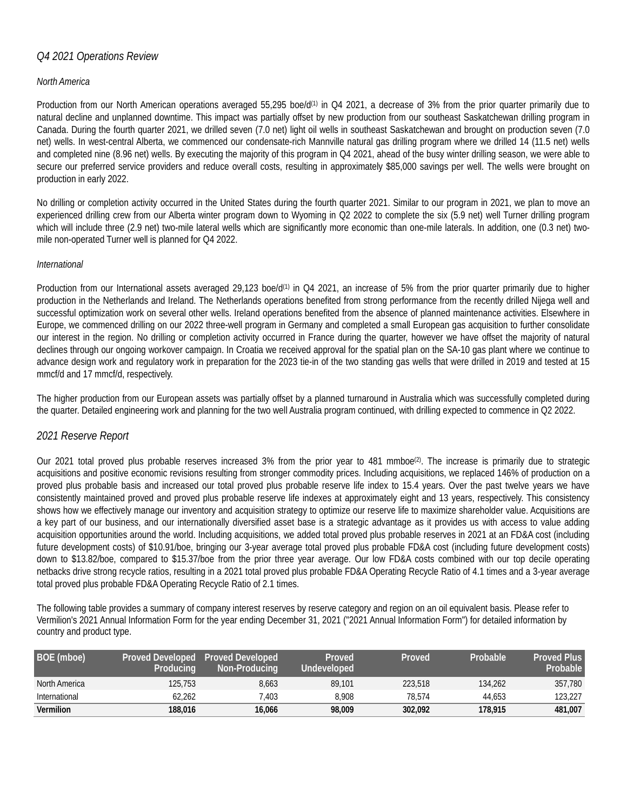## *Q4 2021 Operations Review*

#### *North America*

Production from our North American operations averaged 55,295 boe/ $d^{(1)}$  in Q4 2021, a decrease of 3% from the prior quarter primarily due to natural decline and unplanned downtime. This impact was partially offset by new production from our southeast Saskatchewan drilling program in Canada. During the fourth quarter 2021, we drilled seven (7.0 net) light oil wells in southeast Saskatchewan and brought on production seven (7.0 net) wells. In west-central Alberta, we commenced our condensate-rich Mannville natural gas drilling program where we drilled 14 (11.5 net) wells and completed nine (8.96 net) wells. By executing the majority of this program in Q4 2021, ahead of the busy winter drilling season, we were able to secure our preferred service providers and reduce overall costs, resulting in approximately \$85,000 savings per well. The wells were brought on production in early 2022.

No drilling or completion activity occurred in the United States during the fourth quarter 2021. Similar to our program in 2021, we plan to move an experienced drilling crew from our Alberta winter program down to Wyoming in Q2 2022 to complete the six (5.9 net) well Turner drilling program which will include three (2.9 net) two-mile lateral wells which are significantly more economic than one-mile laterals. In addition, one (0.3 net) twomile non-operated Turner well is planned for Q4 2022.

#### *International*

Production from our International assets averaged 29,123 boe/d<sup>(1)</sup> in Q4 2021, an increase of 5% from the prior quarter primarily due to higher production in the Netherlands and Ireland. The Netherlands operations benefited from strong performance from the recently drilled Nijega well and successful optimization work on several other wells. Ireland operations benefited from the absence of planned maintenance activities. Elsewhere in Europe, we commenced drilling on our 2022 three-well program in Germany and completed a small European gas acquisition to further consolidate our interest in the region. No drilling or completion activity occurred in France during the quarter, however we have offset the majority of natural declines through our ongoing workover campaign. In Croatia we received approval for the spatial plan on the SA-10 gas plant where we continue to advance design work and regulatory work in preparation for the 2023 tie-in of the two standing gas wells that were drilled in 2019 and tested at 15 mmcf/d and 17 mmcf/d, respectively.

The higher production from our European assets was partially offset by a planned turnaround in Australia which was successfully completed during the quarter. Detailed engineering work and planning for the two well Australia program continued, with drilling expected to commence in Q2 2022.

#### *2021 Reserve Report*

Our 2021 total proved plus probable reserves increased 3% from the prior year to 481 mmboe<sup>(2)</sup>. The increase is primarily due to strategic acquisitions and positive economic revisions resulting from stronger commodity prices. Including acquisitions, we replaced 146% of production on a proved plus probable basis and increased our total proved plus probable reserve life index to 15.4 years. Over the past twelve years we have consistently maintained proved and proved plus probable reserve life indexes at approximately eight and 13 years, respectively. This consistency shows how we effectively manage our inventory and acquisition strategy to optimize our reserve life to maximize shareholder value. Acquisitions are a key part of our business, and our internationally diversified asset base is a strategic advantage as it provides us with access to value adding acquisition opportunities around the world. Including acquisitions, we added total proved plus probable reserves in 2021 at an FD&A cost (including future development costs) of \$10.91/boe, bringing our 3-year average total proved plus probable FD&A cost (including future development costs) down to \$13.82/boe, compared to \$15.37/boe from the prior three year average. Our low FD&A costs combined with our top decile operating netbacks drive strong recycle ratios, resulting in a 2021 total proved plus probable FD&A Operating Recycle Ratio of 4.1 times and a 3-year average total proved plus probable FD&A Operating Recycle Ratio of 2.1 times.

The following table provides a summary of company interest reserves by reserve category and region on an oil equivalent basis. Please refer to Vermilion's 2021 Annual Information Form for the year ending December 31, 2021 ("2021 Annual Information Form") for detailed information by country and product type.

| BOE (mboe)       | Proved Developed Proved Developed<br>Producina | Non-Producing | Proved<br>Undeveloped | Proved  | Probable | <b>Proved Plus</b><br>Probable |
|------------------|------------------------------------------------|---------------|-----------------------|---------|----------|--------------------------------|
| North America    | 125.753                                        | 8.663         | 89.101                | 223,518 | 134.262  | 357.780                        |
| International    | 62.262                                         | .403          | 8.908                 | 78.574  | 44.653   | 123.227                        |
| <b>Vermilion</b> | 188.016                                        | 16.066        | 98,009                | 302.092 | 178.915  | 481,007                        |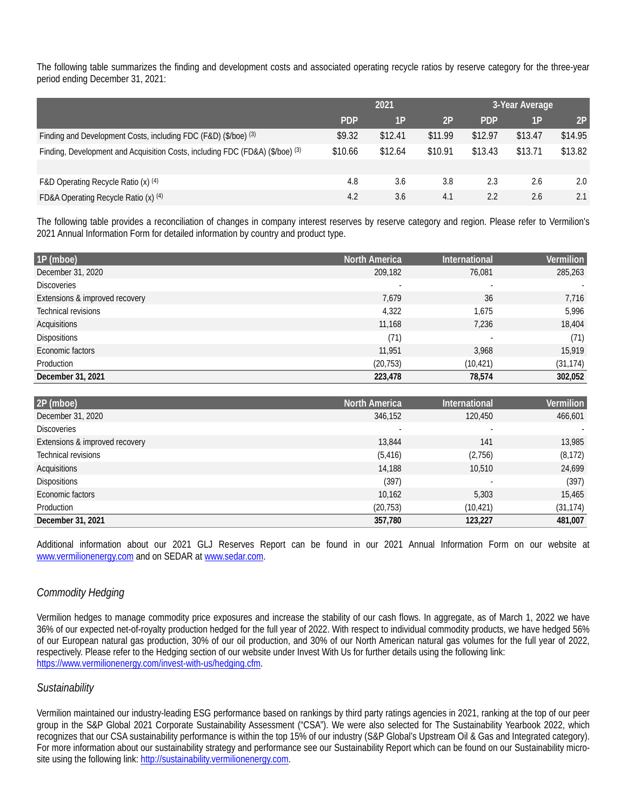The following table summarizes the finding and development costs and associated operating recycle ratios by reserve category for the three-year period ending December 31, 2021:

|                                                                               | 2021       |         | 3-Year Average |            |         |         |
|-------------------------------------------------------------------------------|------------|---------|----------------|------------|---------|---------|
|                                                                               | <b>PDP</b> | 1P      | 2P             | <b>PDP</b> | 1P      | 2P      |
| Finding and Development Costs, including FDC (F&D) (\$/boe) (3)               | \$9.32     | \$12.41 | \$11.99        | \$12.97    | \$13.47 | \$14.95 |
| Finding, Development and Acquisition Costs, including FDC (FD&A) (\$/boe) (3) | \$10.66    | \$12.64 | \$10.91        | \$13.43    | \$13.71 | \$13.82 |
|                                                                               |            |         |                |            |         |         |
| F&D Operating Recycle Ratio (x) (4)                                           | 4.8        | 3.6     | 3.8            | 2.3        | 2.6     | 2.0     |
| FD&A Operating Recycle Ratio (x) (4)                                          | 4.2        | 3.6     | 4.1            | 2.2        | 2.6     | 2.1     |

The following table provides a reconciliation of changes in company interest reserves by reserve category and region. Please refer to Vermilion's 2021 Annual Information Form for detailed information by country and product type.

| 1P (mboe)                      | <b>North America</b>     | <b>International</b> | Vermilion |
|--------------------------------|--------------------------|----------------------|-----------|
| December 31, 2020              | 209,182                  | 76,081               | 285,263   |
| <b>Discoveries</b>             | $\overline{\phantom{a}}$ |                      |           |
| Extensions & improved recovery | 7,679                    | 36                   | 7,716     |
| Technical revisions            | 4,322                    | 1,675                | 5,996     |
| Acquisitions                   | 11,168                   | 7,236                | 18,404    |
| <b>Dispositions</b>            | (71)                     |                      | (71)      |
| Economic factors               | 11,951                   | 3,968                | 15,919    |
| Production                     | (20, 753)                | (10,421)             | (31, 174) |
| December 31, 2021              | 223,478                  | 78,574               | 302,052   |

| 2P (mboe)                      | <b>North America</b>     | <b>International</b> | Vermilion |
|--------------------------------|--------------------------|----------------------|-----------|
| December 31, 2020              | 346,152                  | 120,450              | 466,601   |
| <b>Discoveries</b>             | $\overline{\phantom{a}}$ | ٠                    |           |
| Extensions & improved recovery | 13,844                   | 141                  | 13,985    |
| Technical revisions            | (5, 416)                 | (2,756)              | (8, 172)  |
| Acquisitions                   | 14,188                   | 10,510               | 24,699    |
| <b>Dispositions</b>            | (397)                    | ۰                    | (397)     |
| Economic factors               | 10,162                   | 5,303                | 15,465    |
| Production                     | (20, 753)                | (10, 421)            | (31, 174) |
| December 31, 2021              | 357,780                  | 123,227              | 481,007   |

Additional information about our 2021 GLJ Reserves Report can be found in our 2021 Annual Information Form on our website at www.vermilionenergy.com and on SEDAR at www.sedar.com.

## *Commodity Hedging*

Vermilion hedges to manage commodity price exposures and increase the stability of our cash flows. In aggregate, as of March 1, 2022 we have 36% of our expected net-of-royalty production hedged for the full year of 2022. With respect to individual commodity products, we have hedged 56% of our European natural gas production, 30% of our oil production, and 30% of our North American natural gas volumes for the full year of 2022, respectively. Please refer to the Hedging section of our website under Invest With Us for further details using the following link: [https://www.vermilionenergy.com/invest-with-us/hedging.cfm.](https://www.vermilionenergy.com/invest-with-us/hedging.cfm) 

#### *Sustainability*

Vermilion maintained our industry-leading ESG performance based on rankings by third party ratings agencies in 2021, ranking at the top of our peer group in the S&P Global 2021 Corporate Sustainability Assessment ("CSA"). We were also selected for The Sustainability Yearbook 2022, which recognizes that our CSA sustainability performance is within the top 15% of our industry (S&P Global's Upstream Oil & Gas and Integrated category). For more information about our sustainability strategy and performance see our Sustainability Report which can be found on our Sustainability microsite using the following link[: http://sustainability.vermilionenergy.com.](http://sustainability.vermilionenergy.com/)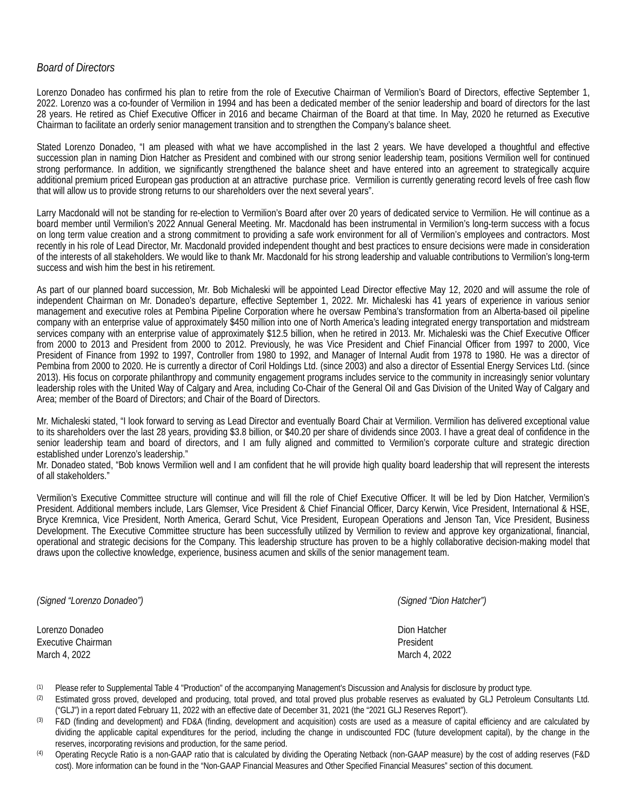## *Board of Directors*

Lorenzo Donadeo has confirmed his plan to retire from the role of Executive Chairman of Vermilion's Board of Directors, effective September 1, 2022. Lorenzo was a co-founder of Vermilion in 1994 and has been a dedicated member of the senior leadership and board of directors for the last 28 years. He retired as Chief Executive Officer in 2016 and became Chairman of the Board at that time. In May, 2020 he returned as Executive Chairman to facilitate an orderly senior management transition and to strengthen the Company's balance sheet.

Stated Lorenzo Donadeo, "I am pleased with what we have accomplished in the last 2 years. We have developed a thoughtful and effective succession plan in naming Dion Hatcher as President and combined with our strong senior leadership team, positions Vermilion well for continued strong performance. In addition, we significantly strengthened the balance sheet and have entered into an agreement to strategically acquire additional premium priced European gas production at an attractive purchase price. Vermilion is currently generating record levels of free cash flow that will allow us to provide strong returns to our shareholders over the next several years".

Larry Macdonald will not be standing for re-election to Vermilion's Board after over 20 years of dedicated service to Vermilion. He will continue as a board member until Vermilion's 2022 Annual General Meeting. Mr. Macdonald has been instrumental in Vermilion's long-term success with a focus on long term value creation and a strong commitment to providing a safe work environment for all of Vermilion's employees and contractors. Most recently in his role of Lead Director, Mr. Macdonald provided independent thought and best practices to ensure decisions were made in consideration of the interests of all stakeholders. We would like to thank Mr. Macdonald for his strong leadership and valuable contributions to Vermilion's long-term success and wish him the best in his retirement.

As part of our planned board succession, Mr. Bob Michaleski will be appointed Lead Director effective May 12, 2020 and will assume the role of independent Chairman on Mr. Donadeo's departure, effective September 1, 2022. Mr. Michaleski has 41 years of experience in various senior management and executive roles at Pembina Pipeline Corporation where he oversaw Pembina's transformation from an Alberta-based oil pipeline company with an enterprise value of approximately \$450 million into one of North America's leading integrated energy transportation and midstream services company with an enterprise value of approximately \$12.5 billion, when he retired in 2013. Mr. Michaleski was the Chief Executive Officer from 2000 to 2013 and President from 2000 to 2012. Previously, he was Vice President and Chief Financial Officer from 1997 to 2000, Vice President of Finance from 1992 to 1997, Controller from 1980 to 1992, and Manager of Internal Audit from 1978 to 1980. He was a director of Pembina from 2000 to 2020. He is currently a director of Coril Holdings Ltd. (since 2003) and also a director of Essential Energy Services Ltd. (since 2013). His focus on corporate philanthropy and community engagement programs includes service to the community in increasingly senior voluntary leadership roles with the United Way of Calgary and Area, including Co-Chair of the General Oil and Gas Division of the United Way of Calgary and Area; member of the Board of Directors; and Chair of the Board of Directors.

Mr. Michaleski stated, "I look forward to serving as Lead Director and eventually Board Chair at Vermilion. Vermilion has delivered exceptional value to its shareholders over the last 28 years, providing \$3.8 billion, or \$40.20 per share of dividends since 2003. I have a great deal of confidence in the senior leadership team and board of directors, and I am fully aligned and committed to Vermilion's corporate culture and strategic direction established under Lorenzo's leadership."

Mr. Donadeo stated, "Bob knows Vermilion well and I am confident that he will provide high quality board leadership that will represent the interests of all stakeholders."

Vermilion's Executive Committee structure will continue and will fill the role of Chief Executive Officer. It will be led by Dion Hatcher, Vermilion's President. Additional members include, Lars Glemser, Vice President & Chief Financial Officer, Darcy Kerwin, Vice President, International & HSE, Bryce Kremnica, Vice President, North America, Gerard Schut, Vice President, European Operations and Jenson Tan, Vice President, Business Development. The Executive Committee structure has been successfully utilized by Vermilion to review and approve key organizational, financial, operational and strategic decisions for the Company. This leadership structure has proven to be a highly collaborative decision-making model that draws upon the collective knowledge, experience, business acumen and skills of the senior management team.

*(Signed "Lorenzo Donadeo") (Signed "Dion Hatcher")*

Lorenzo Donadeo **Dion Hatcher** Dion Hatcher Dion Hatcher Dion Hatcher Dion Hatcher Dion Hatcher Dion Hatcher Dion Hatcher Executive Chairman **President President** March 4, 2022 **March 4, 2022** March 4, 2022 **March 4, 2022** 

- (1) Please refer to Supplemental Table 4 "Production" of the accompanying Management's Discussion and Analysis for disclosure by product type.
- (2) Estimated gross proved, developed and producing, total proved, and total proved plus probable reserves as evaluated by GLJ Petroleum Consultants Ltd. ("GLJ") in a report dated February 11, 2022 with an effective date of December 31, 2021 (the "2021 GLJ Reserves Report").
- (3) F&D (finding and development) and FD&A (finding, development and acquisition) costs are used as a measure of capital efficiency and are calculated by dividing the applicable capital expenditures for the period, including the change in undiscounted FDC (future development capital), by the change in the reserves, incorporating revisions and production, for the same period.
- (4) Operating Recycle Ratio is a non-GAAP ratio that is calculated by dividing the Operating Netback (non-GAAP measure) by the cost of adding reserves (F&D cost). More information can be found in the "Non-GAAP Financial Measures and Other Specified Financial Measures" section of this document.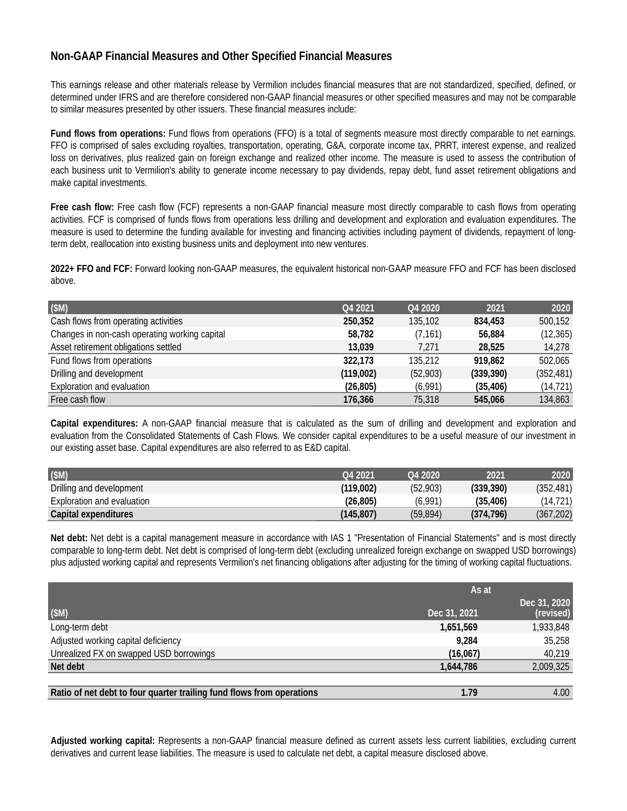# **Non-GAAP Financial Measures and Other Specified Financial Measures**

This earnings release and other materials release by Vermilion includes financial measures that are not standardized, specified, defined, or determined under IFRS and are therefore considered non-GAAP financial measures or other specified measures and may not be comparable to similar measures presented by other issuers. These financial measures include:

**Fund flows from operations:** Fund flows from operations (FFO) is a total of segments measure most directly comparable to net earnings. FFO is comprised of sales excluding royalties, transportation, operating, G&A, corporate income tax, PRRT, interest expense, and realized loss on derivatives, plus realized gain on foreign exchange and realized other income. The measure is used to assess the contribution of each business unit to Vermilion's ability to generate income necessary to pay dividends, repay debt, fund asset retirement obligations and make capital investments.

**Free cash flow:** Free cash flow (FCF) represents a non-GAAP financial measure most directly comparable to cash flows from operating activities. FCF is comprised of funds flows from operations less drilling and development and exploration and evaluation expenditures. The measure is used to determine the funding available for investing and financing activities including payment of dividends, repayment of longterm debt, reallocation into existing business units and deployment into new ventures.

**2022+ FFO and FCF:** Forward looking non-GAAP measures, the equivalent historical non-GAAP measure FFO and FCF has been disclosed above.

| (SM)                                          | Q4 2021   | Q4 2020  | 2021       | 2020       |
|-----------------------------------------------|-----------|----------|------------|------------|
| Cash flows from operating activities          | 250.352   | 135,102  | 834,453    | 500,152    |
| Changes in non-cash operating working capital | 58.782    | (7, 161) | 56.884     | (12, 365)  |
| Asset retirement obligations settled          | 13.039    | 7.271    | 28,525     | 14,278     |
| Fund flows from operations                    | 322.173   | 135,212  | 919,862    | 502,065    |
| Drilling and development                      | (119,002) | (52,903) | (339, 390) | (352, 481) |
| Exploration and evaluation                    | (26, 805) | (6,991)  | (35, 406)  | (14, 721)  |
| Free cash flow                                | 176,366   | 75,318   | 545.066    | 134,863    |

**Capital expenditures:** A non-GAAP financial measure that is calculated as the sum of drilling and development and exploration and evaluation from the Consolidated Statements of Cash Flows. We consider capital expenditures to be a useful measure of our investment in our existing asset base. Capital expenditures are also referred to as E&D capital.

| (SM)                       | O <sub>4</sub> 2021 | O <sub>4</sub> 2020 | 2021       | 2020       |
|----------------------------|---------------------|---------------------|------------|------------|
| Drilling and development   | (119.002)           | (52,903)            | (339.390)  | (352, 481) |
| Exploration and evaluation | (26, 805)           | (6.991)             | (35, 406)  | (14, 721)  |
| Capital expenditures       | (145.807)           | (59, 894)           | (374, 796) | (367, 202) |

Net debt: Net debt is a capital management measure in accordance with IAS 1 "Presentation of Financial Statements" and is most directly comparable to long-term debt. Net debt is comprised of long-term debt (excluding unrealized foreign exchange on swapped USD borrowings) plus adjusted working capital and represents Vermilion's net financing obligations after adjusting for the timing of working capital fluctuations.

|                                                                       | As at        |                           |  |
|-----------------------------------------------------------------------|--------------|---------------------------|--|
| (SM)                                                                  | Dec 31, 2021 | Dec 31, 2020<br>(revised) |  |
| Long-term debt                                                        | 1,651,569    | 1,933,848                 |  |
| Adjusted working capital deficiency                                   | 9.284        | 35,258                    |  |
| Unrealized FX on swapped USD borrowings                               | (16,067)     | 40,219                    |  |
| Net debt                                                              | 1,644,786    | 2,009,325                 |  |
|                                                                       |              |                           |  |
| Ratio of net debt to four quarter trailing fund flows from operations | 1.79         | 4.00                      |  |

**Adjusted working capital:** Represents a non-GAAP financial measure defined as current assets less current liabilities, excluding current derivatives and current lease liabilities. The measure is used to calculate net debt, a capital measure disclosed above.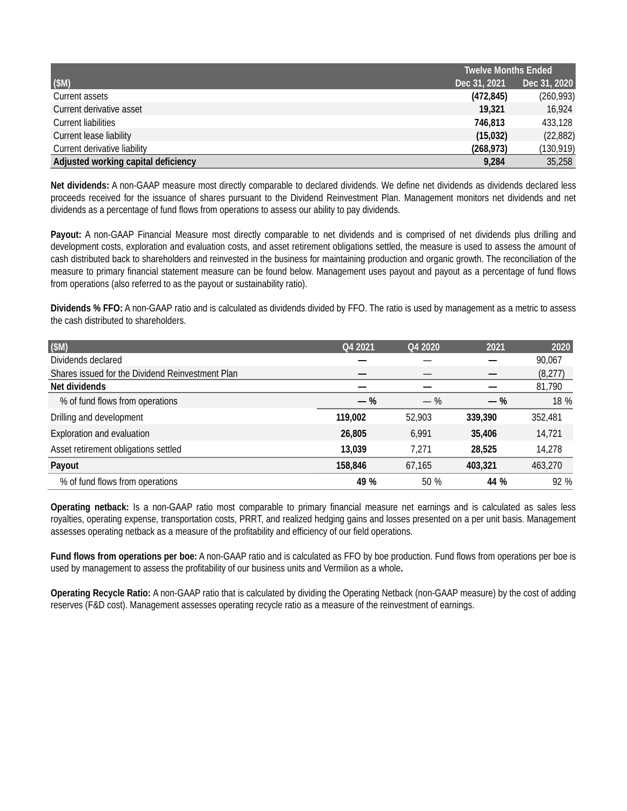|                                     | <b>Twelve Months Ended</b> |              |  |
|-------------------------------------|----------------------------|--------------|--|
| (SM)                                | Dec 31, 2021               | Dec 31, 2020 |  |
| Current assets                      | (472, 845)                 | (260, 993)   |  |
| Current derivative asset            | 19,321                     | 16.924       |  |
| <b>Current liabilities</b>          | 746,813                    | 433,128      |  |
| Current lease liability             | (15,032)                   | (22, 882)    |  |
| Current derivative liability        | (268, 973)                 | (130, 919)   |  |
| Adjusted working capital deficiency | 9,284                      | 35,258       |  |

**Net dividends:** A non-GAAP measure most directly comparable to declared dividends. We define net dividends as dividends declared less proceeds received for the issuance of shares pursuant to the Dividend Reinvestment Plan. Management monitors net dividends and net dividends as a percentage of fund flows from operations to assess our ability to pay dividends.

**Payout:** A non-GAAP Financial Measure most directly comparable to net dividends and is comprised of net dividends plus drilling and development costs, exploration and evaluation costs, and asset retirement obligations settled, the measure is used to assess the amount of cash distributed back to shareholders and reinvested in the business for maintaining production and organic growth. The reconciliation of the measure to primary financial statement measure can be found below. Management uses payout and payout as a percentage of fund flows from operations (also referred to as the payout or sustainability ratio).

**Dividends % FFO:** A non-GAAP ratio and is calculated as dividends divided by FFO. The ratio is used by management as a metric to assess the cash distributed to shareholders.

| (SM)                                             | Q4 2021 | Q4 2020 | 2021    | 2020    |
|--------------------------------------------------|---------|---------|---------|---------|
| Dividends declared                               |         |         |         | 90,067  |
| Shares issued for the Dividend Reinvestment Plan |         |         |         | (8,277) |
| Net dividends                                    |         |         |         | 81,790  |
| % of fund flows from operations                  | $-$ %   | $-$ %   | $-$ %   | 18 %    |
| Drilling and development                         | 119,002 | 52.903  | 339.390 | 352,481 |
| Exploration and evaluation                       | 26,805  | 6.991   | 35,406  | 14,721  |
| Asset retirement obligations settled             | 13.039  | 7,271   | 28,525  | 14,278  |
| Payout                                           | 158,846 | 67,165  | 403,321 | 463,270 |
| % of fund flows from operations                  | 49 %    | 50%     | 44 %    | 92%     |

**Operating netback:** Is a non-GAAP ratio most comparable to primary financial measure net earnings and is calculated as sales less royalties, operating expense, transportation costs, PRRT, and realized hedging gains and losses presented on a per unit basis. Management assesses operating netback as a measure of the profitability and efficiency of our field operations.

**Fund flows from operations per boe:** A non-GAAP ratio and is calculated as FFO by boe production. Fund flows from operations per boe is used by management to assess the profitability of our business units and Vermilion as a whole**.**

**Operating Recycle Ratio:** A non-GAAP ratio that is calculated by dividing the Operating Netback (non-GAAP measure) by the cost of adding reserves (F&D cost). Management assesses operating recycle ratio as a measure of the reinvestment of earnings.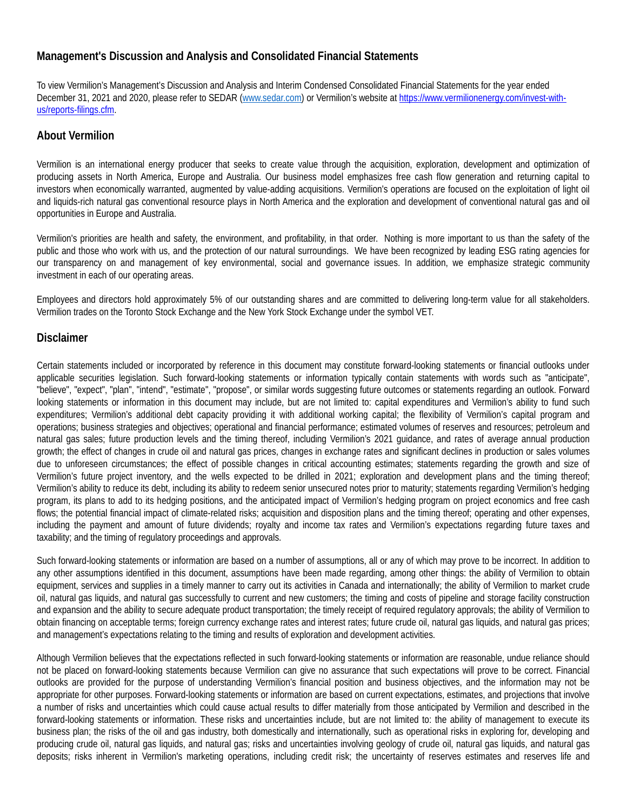# **Management's Discussion and Analysis and Consolidated Financial Statements**

To view Vermilion's Management's Discussion and Analysis and Interim Condensed Consolidated Financial Statements for the year ended December 31, 2021 and 2020, please refer to SEDAR (www.sedar.com) or Vermilion's website at [https://www.vermilionenergy.com/invest-with](https://www.vermilionenergy.com/invest-with-us/reports-filings.cfm)[us/reports-filings.cfm.](https://www.vermilionenergy.com/invest-with-us/reports-filings.cfm)

## **About Vermilion**

Vermilion is an international energy producer that seeks to create value through the acquisition, exploration, development and optimization of producing assets in North America, Europe and Australia. Our business model emphasizes free cash flow generation and returning capital to investors when economically warranted, augmented by value-adding acquisitions. Vermilion's operations are focused on the exploitation of light oil and liquids-rich natural gas conventional resource plays in North America and the exploration and development of conventional natural gas and oil opportunities in Europe and Australia.

Vermilion's priorities are health and safety, the environment, and profitability, in that order. Nothing is more important to us than the safety of the public and those who work with us, and the protection of our natural surroundings. We have been recognized by leading ESG rating agencies for our transparency on and management of key environmental, social and governance issues. In addition, we emphasize strategic community investment in each of our operating areas.

Employees and directors hold approximately 5% of our outstanding shares and are committed to delivering long-term value for all stakeholders. Vermilion trades on the Toronto Stock Exchange and the New York Stock Exchange under the symbol VET.

## **Disclaimer**

Certain statements included or incorporated by reference in this document may constitute forward-looking statements or financial outlooks under applicable securities legislation. Such forward-looking statements or information typically contain statements with words such as "anticipate", "believe", "expect", "plan", "intend", "estimate", "propose", or similar words suggesting future outcomes or statements regarding an outlook. Forward looking statements or information in this document may include, but are not limited to: capital expenditures and Vermilion's ability to fund such expenditures; Vermilion's additional debt capacity providing it with additional working capital; the flexibility of Vermilion's capital program and operations; business strategies and objectives; operational and financial performance; estimated volumes of reserves and resources; petroleum and natural gas sales; future production levels and the timing thereof, including Vermilion's 2021 guidance, and rates of average annual production growth; the effect of changes in crude oil and natural gas prices, changes in exchange rates and significant declines in production or sales volumes due to unforeseen circumstances; the effect of possible changes in critical accounting estimates; statements regarding the growth and size of Vermilion's future project inventory, and the wells expected to be drilled in 2021; exploration and development plans and the timing thereof; Vermilion's ability to reduce its debt, including its ability to redeem senior unsecured notes prior to maturity; statements regarding Vermilion's hedging program, its plans to add to its hedging positions, and the anticipated impact of Vermilion's hedging program on project economics and free cash flows; the potential financial impact of climate-related risks; acquisition and disposition plans and the timing thereof; operating and other expenses, including the payment and amount of future dividends; royalty and income tax rates and Vermilion's expectations regarding future taxes and taxability; and the timing of regulatory proceedings and approvals.

Such forward-looking statements or information are based on a number of assumptions, all or any of which may prove to be incorrect. In addition to any other assumptions identified in this document, assumptions have been made regarding, among other things: the ability of Vermilion to obtain equipment, services and supplies in a timely manner to carry out its activities in Canada and internationally; the ability of Vermilion to market crude oil, natural gas liquids, and natural gas successfully to current and new customers; the timing and costs of pipeline and storage facility construction and expansion and the ability to secure adequate product transportation; the timely receipt of required regulatory approvals; the ability of Vermilion to obtain financing on acceptable terms; foreign currency exchange rates and interest rates; future crude oil, natural gas liquids, and natural gas prices; and management's expectations relating to the timing and results of exploration and development activities.

Although Vermilion believes that the expectations reflected in such forward-looking statements or information are reasonable, undue reliance should not be placed on forward-looking statements because Vermilion can give no assurance that such expectations will prove to be correct. Financial outlooks are provided for the purpose of understanding Vermilion's financial position and business objectives, and the information may not be appropriate for other purposes. Forward-looking statements or information are based on current expectations, estimates, and projections that involve a number of risks and uncertainties which could cause actual results to differ materially from those anticipated by Vermilion and described in the forward-looking statements or information. These risks and uncertainties include, but are not limited to: the ability of management to execute its business plan; the risks of the oil and gas industry, both domestically and internationally, such as operational risks in exploring for, developing and producing crude oil, natural gas liquids, and natural gas; risks and uncertainties involving geology of crude oil, natural gas liquids, and natural gas deposits; risks inherent in Vermilion's marketing operations, including credit risk; the uncertainty of reserves estimates and reserves life and